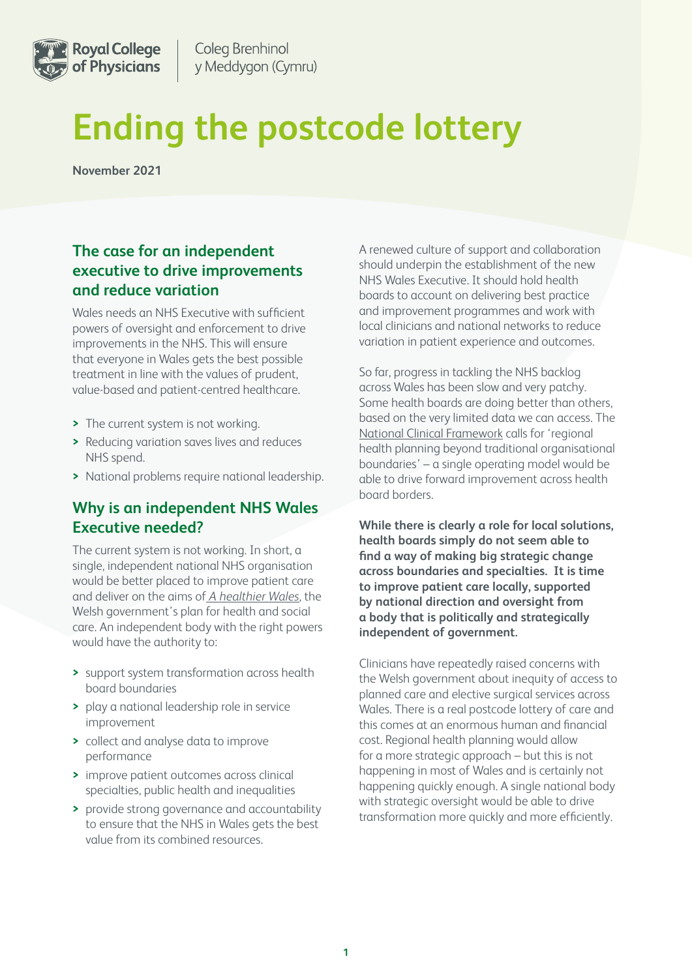

# **Ending the postcode lottery**

**November 2021** 

# **The case for an independent executive to drive improvements and reduce variation**

Wales needs an NHS Executive with sufficient powers of oversight and enforcement to drive improvements in the NHS. This will ensure that everyone in Wales gets the best possible treatment in line with the values of prudent, value-based and patient-centred healthcare.

- **>** The current system is not working.
- **>** Reducing variation saves lives and reduces NHS spend.
- **>** National problems require national leadership.

## **Why is an independent NHS Wales Executive needed?**

The current system is not working. In short, a single, independent national NHS organisation would be better placed to improve patient care and deliver on the aims of *[A healthier Wales](https://gov.wales/sites/default/files/publications/2021-09/a-healthier-wales-our-plan-for-health-and-social-care.pdf)*, the Welsh government's plan for health and social care. An independent body with the right powers would have the authority to:

- **>** support system transformation across health board boundaries
- **>** play a national leadership role in service improvement
- **>** collect and analyse data to improve performance
- **>** improve patient outcomes across clinical specialties, public health and inequalities
- **>** provide strong governance and accountability to ensure that the NHS in Wales gets the best value from its combined resources.

A renewed culture of support and collaboration should underpin the establishment of the new NHS Wales Executive. It should hold health boards to account on delivering best practice and improvement programmes and work with local clinicians and national networks to reduce variation in patient experience and outcomes.

So far, progress in tackling the NHS backlog across Wales has been slow and very patchy. Some health boards are doing better than others, based on the very limited data we can access. The [National Clinical Framework](https://gov.wales/sites/default/files/publications/2021-05/national-clinical-framework-a-learning-health-and-care-system_0.pdf) calls for 'regional health planning beyond traditional organisational boundaries' – a single operating model would be able to drive forward improvement across health board borders.

**While there is clearly a role for local solutions, health boards simply do not seem able to find a way of making big strategic change across boundaries and specialties. It is time to improve patient care locally, supported by national direction and oversight from a body that is politically and strategically independent of government.** 

Clinicians have repeatedly raised concerns with the Welsh government about inequity of access to planned care and elective surgical services across Wales. There is a real postcode lottery of care and this comes at an enormous human and financial cost. Regional health planning would allow for a more strategic approach – but this is not happening in most of Wales and is certainly not happening quickly enough. A single national body with strategic oversight would be able to drive transformation more quickly and more efficiently.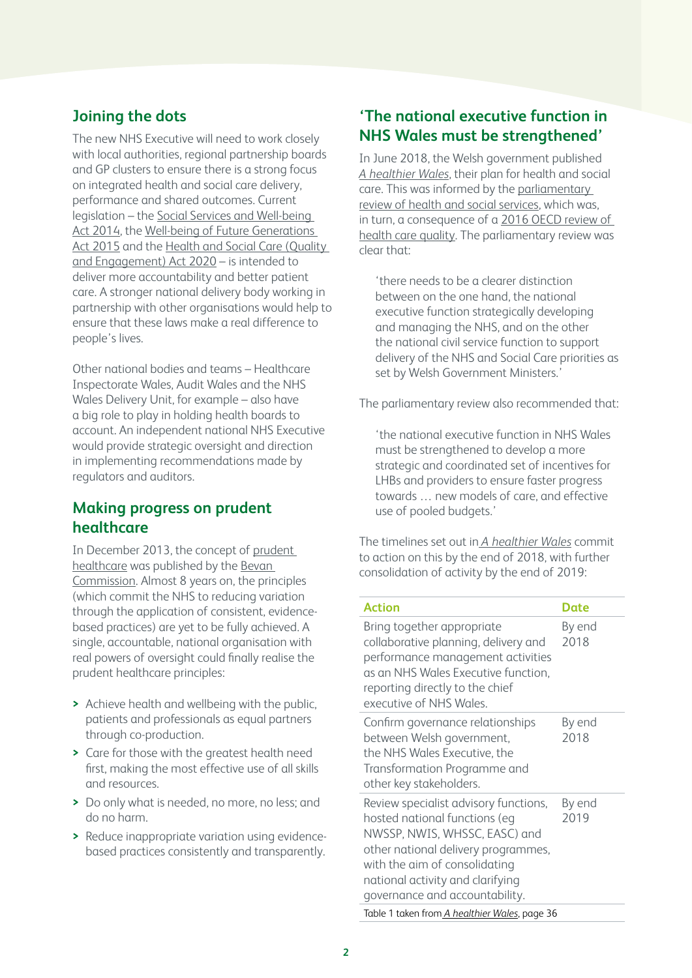# **Joining the dots**

The new NHS Executive will need to work closely with local authorities, regional partnership boards and GP clusters to ensure there is a strong focus on integrated health and social care delivery, performance and shared outcomes. Current legislation – the [Social Services and Well-being](https://socialcare.wales/hub/sswbact)  [Act 2014](https://socialcare.wales/hub/sswbact), the [Well-being of Future Generations](https://www.futuregenerations.wales/about-us/future-generations-act/)  [Act 2015](https://www.futuregenerations.wales/about-us/future-generations-act/) and the Health and Social Care (Quality [and Engagement\) Act 2020](“https://gov.wales/health-and-social-care-quality-and-engagement-wales-act-summary) – is intended to deliver more accountability and better patient care. A stronger national delivery body working in partnership with other organisations would help to ensure that these laws make a real difference to people's lives.

Other national bodies and teams – Healthcare Inspectorate Wales, Audit Wales and the NHS Wales Delivery Unit, for example – also have a big role to play in holding health boards to account. An independent national NHS Executive would provide strategic oversight and direction in implementing recommendations made by regulators and auditors.

## **Making progress on prudent healthcare**

In December 2013, the concept of [prudent](https://gov.wales/sites/default/files/publications/2019-04/securing-health-and-well-being-for-future-generations.pdf)  [healthcare](https://gov.wales/sites/default/files/publications/2019-04/securing-health-and-well-being-for-future-generations.pdf) was published by the [Bevan](https://www.bevancommission.org/prudent-healthcare)  [Commission.](https://www.bevancommission.org/prudent-healthcare) Almost 8 years on, the principles (which commit the NHS to reducing variation through the application of consistent, evidencebased practices) are yet to be fully achieved. A single, accountable, national organisation with real powers of oversight could finally realise the prudent healthcare principles:

- **>** Achieve health and wellbeing with the public, patients and professionals as equal partners through co-production.
- **>** Care for those with the greatest health need first, making the most effective use of all skills and resources.
- **>** Do only what is needed, no more, no less; and do no harm.
- **>** Reduce inappropriate variation using evidencebased practices consistently and transparently.

# **'The national executive function in NHS Wales must be strengthened'**

In June 2018, the Welsh government published *[A healthier Wale](https://gov.wales/sites/default/files/publications/2021-09/a-healthier-wales-our-plan-for-health-and-social-care.pdf)s*, their plan for health and social care. This was informed by the [parliamentary](https://gov.wales/sites/default/files/publications/2018-01/Review-health-social-care-report-final.pdf)  [review of health and social services](https://gov.wales/sites/default/files/publications/2018-01/Review-health-social-care-report-final.pdf), which was, in turn, a consequence of a [2016 OECD review of](https://www.oecd.org/els/health-systems/oecd-reviews-of-health-care-quality-united-kingdom-2016-9789264239487-en.htm)  [health care quality.](https://www.oecd.org/els/health-systems/oecd-reviews-of-health-care-quality-united-kingdom-2016-9789264239487-en.htm) The parliamentary review was clear that:

'there needs to be a clearer distinction between on the one hand, the national executive function strategically developing and managing the NHS, and on the other the national civil service function to support delivery of the NHS and Social Care priorities as set by Welsh Government Ministers.'

The parliamentary review also recommended that:

'the national executive function in NHS Wales must be strengthened to develop a more strategic and coordinated set of incentives for LHBs and providers to ensure faster progress towards … new models of care, and effective use of pooled budgets.'

The timelines set out in *[A healthier Wales](https://gov.wales/sites/default/files/publications/2021-09/a-healthier-wales-our-plan-for-health-and-social-care.pdf)* commit to action on this by the end of 2018, with further consolidation of activity by the end of 2019:

| <b>Action</b>                                                                                                                                                                                                                                         | Date           |
|-------------------------------------------------------------------------------------------------------------------------------------------------------------------------------------------------------------------------------------------------------|----------------|
| Bring together appropriate<br>collaborative planning, delivery and<br>performance management activities<br>as an NHS Wales Executive function,<br>reporting directly to the chief<br>executive of NHS Wales.                                          | By end<br>2018 |
| Confirm governance relationships<br>between Welsh government,<br>the NHS Wales Executive, the<br>Transformation Programme and<br>other key stakeholders.                                                                                              | By end<br>2018 |
| Review specialist advisory functions,<br>hosted national functions (eq<br>NWSSP, NWIS, WHSSC, EASC) and<br>other national delivery programmes,<br>with the aim of consolidating<br>national activity and clarifying<br>governance and accountability. | By end<br>2019 |
| Table 1 taken from A healthier Wales, page 36                                                                                                                                                                                                         |                |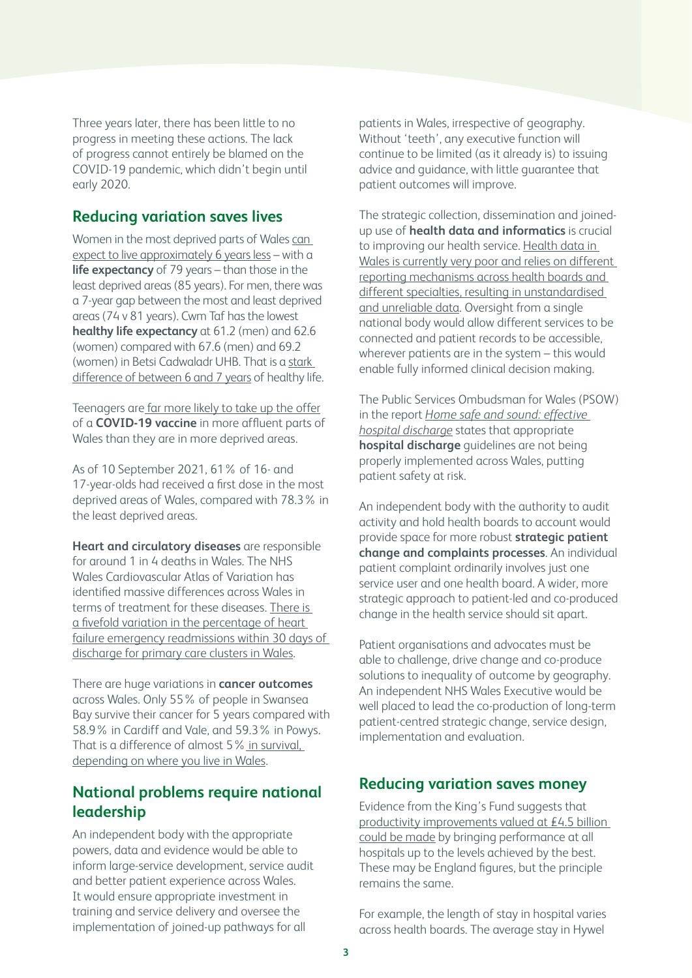Three years later, there has been little to no progress in meeting these actions. The lack of progress cannot entirely be blamed on the COVID-19 pandemic, which didn't begin until early 2020.

#### **Reducing variation saves lives**

Women in the most deprived parts of Wales [can](https://www.theguardian.com/uk-news/2021/mar/24/life-expectancy-gap-rises-between-most-and-least-deprived-in-wales)  [expect to live approximately 6 years less](https://www.theguardian.com/uk-news/2021/mar/24/life-expectancy-gap-rises-between-most-and-least-deprived-in-wales) – with a **life expectancy** of 79 years – than those in the least deprived areas (85 years). For men, there was a 7-year gap between the most and least deprived areas (74 v 81 years). Cwm Taf has the lowest **healthy life expectancy** at 61.2 (men) and 62.6 (women) compared with 67.6 (men) and 69.2 (women) in Betsi Cadwaladr UHB. That is a [stark](https://statswales.gov.wales/Catalogue/Health-and-Social-Care/Life-Expectancy/lifeexpectancyandhealthylifeexpectancyatbirth-by-localhealthboard-localauthority)  [difference of between 6 and 7 years](https://statswales.gov.wales/Catalogue/Health-and-Social-Care/Life-Expectancy/lifeexpectancyandhealthylifeexpectancyatbirth-by-localhealthboard-localauthority) of healthy life.

Teenagers ar[e far more likely to take up the offer](https://www.bbc.co.uk/news/uk-wales-58748325) of a **COVID-19 vaccine** in more affluent parts of Wales than they are in more deprived areas.

As of 10 September 2021, 61% of 16- and 17-year-olds had received a first dose in the most deprived areas of Wales, compared with 78.3% in the least deprived areas.

**Heart and circulatory diseases** are responsible for around 1 in 4 deaths in Wales. The NHS Wales Cardiovascular Atlas of Variation has identified massive differences across Wales in terms of treatment for these diseases. [There is](https://collaborative.nhs.wales/networks/wales-cardiac-network/cardiac-network-documents/cardiovascularatlasofvariation-march2019-pdf/)  [a fivefold variation in the percentage of heart](https://collaborative.nhs.wales/networks/wales-cardiac-network/cardiac-network-documents/cardiovascularatlasofvariation-march2019-pdf/)  [failure emergency readmissions within 30 days of](https://collaborative.nhs.wales/networks/wales-cardiac-network/cardiac-network-documents/cardiovascularatlasofvariation-march2019-pdf/)  [discharge for primary care clusters in Wales](https://collaborative.nhs.wales/networks/wales-cardiac-network/cardiac-network-documents/cardiovascularatlasofvariation-march2019-pdf/).

There are huge variations in **cancer outcomes**  across Wales. Only 55% of people in Swansea Bay survive their cancer for 5 years compared with 58.9% in Cardiff and Vale, and 59.3% in Powys. That is a difference of almost 5% [in survival,](https://statswales.gov.wales/Catalogue/Health-and-Social-Care/NHS-Hospital-Waiting-Times/Cancer-Waiting-Times/Monthly/suspectedcancerpathwayclosedpathways-by-localhealthboard-tumoursite-agegroup-gender-measure-month)  [depending on where you live in Wales.](https://statswales.gov.wales/Catalogue/Health-and-Social-Care/NHS-Hospital-Waiting-Times/Cancer-Waiting-Times/Monthly/suspectedcancerpathwayclosedpathways-by-localhealthboard-tumoursite-agegroup-gender-measure-month)

## **National problems require national leadership**

An independent body with the appropriate powers, data and evidence would be able to inform large-service development, service audit and better patient experience across Wales. It would ensure appropriate investment in training and service delivery and oversee the implementation of joined-up pathways for all

patients in Wales, irrespective of geography. Without 'teeth', any executive function will continue to be limited (as it already is) to issuing advice and guidance, with little guarantee that patient outcomes will improve.

The strategic collection, dissemination and joinedup use of **health data and informatics** is crucial to improving our health service. Health data in [Wales is currently very poor and relies on different](https://cwmtafmorgannwg.wales/Docs/Digital and Data Committee/02 SEPTEMBER 24 2020/7.2 Thematic Report 2020.pdf)  [reporting mechanisms across health boards and](https://cwmtafmorgannwg.wales/Docs/Digital and Data Committee/02 SEPTEMBER 24 2020/7.2 Thematic Report 2020.pdf)  [different specialties, resulting in unstandardised](https://cwmtafmorgannwg.wales/Docs/Digital and Data Committee/02 SEPTEMBER 24 2020/7.2 Thematic Report 2020.pdf)  [and unreliable data](https://cwmtafmorgannwg.wales/Docs/Digital and Data Committee/02 SEPTEMBER 24 2020/7.2 Thematic Report 2020.pdf). Oversight from a single national body would allow different services to be connected and patient records to be accessible, wherever patients are in the system – this would enable fully informed clinical decision making.

The Public Services Ombudsman for Wales (PSOW) in the report *[Home safe and sound: effective](https://www.ombudsman.wales/wp-content/uploads/2018/11/Home-Safe-and-Sound-Effective-Hospital-Discharge-E.pdf)  [hospital discharge](https://www.ombudsman.wales/wp-content/uploads/2018/11/Home-Safe-and-Sound-Effective-Hospital-Discharge-E.pdf)* states that appropriate **hospital discharge** guidelines are not being properly implemented across Wales, putting patient safety at risk.

An independent body with the authority to audit activity and hold health boards to account would provide space for more robust **strategic patient change and complaints processes**. An individual patient complaint ordinarily involves just one service user and one health board. A wider, more strategic approach to patient-led and co-produced change in the health service should sit apart.

Patient organisations and advocates must be able to challenge, drive change and co-produce solutions to inequality of outcome by geography. An independent NHS Wales Executive would be well placed to lead the co-production of long-term patient-centred strategic change, service design, implementation and evaluation.

## **Reducing variation saves money**

Evidence from the King's Fund suggests that [productivity improvements valued at £4.5 billion](https://www.kingsfund.org.uk/projects/quality-cold-climate/reducing-variations)  [could be made](https://www.kingsfund.org.uk/projects/quality-cold-climate/reducing-variations) by bringing performance at all hospitals up to the levels achieved by the best. These may be England figures, but the principle remains the same.

For example, the length of stay in hospital varies across health boards. The average stay in Hywel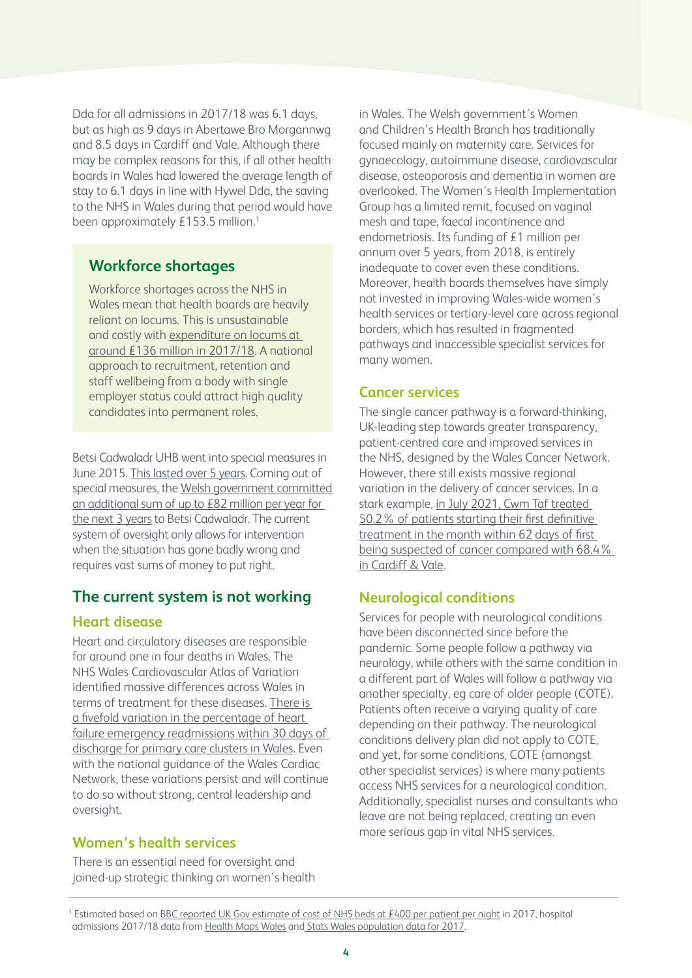Dda for all admissions in 2017/18 was 6.1 days, but as high as 9 days in Abertawe Bro Morgannwg and 8.5 days in Cardiff and Vale. Although there may be complex reasons for this, if all other health boards in Wales had lowered the average length of stay to 6.1 days in line with Hywel Dda, the saving to the NHS in Wales during that period would have been approximately £153.5 million.<sup>1</sup>

## **Workforce shortages**

Workforce shortages across the NHS in Wales mean that health boards are heavily reliant on locums. This is unsustainable and costly with [expenditure on locums at](http://www.powysthb.wales.nhs.uk/sitesplus/documents/1145/P%26R_Item_4.1_Expenditure-on-agency-staff-by-nhs-wales-2019-eng-print-version.pdf)  [around £136 million in 2017/18.](http://www.powysthb.wales.nhs.uk/sitesplus/documents/1145/P%26R_Item_4.1_Expenditure-on-agency-staff-by-nhs-wales-2019-eng-print-version.pdf) A national approach to recruitment, retention and staff wellbeing from a body with single employer status could attract high quality candidates into permanent roles.

Betsi Cadwaladr UHB went into special measures in June 2015. [This lasted over 5 years.](https://bcuhb.nhs.wales/news/updates-and-developments/special-measures/) Coming out of special measures, the [Welsh government committed](https://bcuhb.nhs.wales/news/updates-and-developments/special-measures/)  [an additional sum of up to £82 million per year for](https://bcuhb.nhs.wales/news/updates-and-developments/special-measures/)  [the next 3 years](https://bcuhb.nhs.wales/news/updates-and-developments/special-measures/) to Betsi Cadwaladr. The current system of oversight only allows for intervention when the situation has gone badly wrong and requires vast sums of money to put right.

## **The current system is not working**

#### **Heart disease**

Heart and circulatory diseases are responsible for around one in four deaths in Wales. The NHS Wales Cardiovascular Atlas of Variation identified massive differences across Wales in terms of treatment for these diseases. [There is](https://collaborative.nhs.wales/networks/wales-cardiac-network/cardiac-network-documents/cardiovascularatlasofvariation-march2019-pdf/)  [a fivefold variation in the percentage of heart](https://collaborative.nhs.wales/networks/wales-cardiac-network/cardiac-network-documents/cardiovascularatlasofvariation-march2019-pdf/)  [failure emergency readmissions within 30 days of](https://collaborative.nhs.wales/networks/wales-cardiac-network/cardiac-network-documents/cardiovascularatlasofvariation-march2019-pdf/)  [discharge for primary care clusters in Wales](https://collaborative.nhs.wales/networks/wales-cardiac-network/cardiac-network-documents/cardiovascularatlasofvariation-march2019-pdf/). Even with the national guidance of the Wales Cardiac Network, these variations persist and will continue to do so without strong, central leadership and oversight.

#### **Women's health services**

There is an essential need for oversight and joined-up strategic thinking on women's health

in Wales. The Welsh government's Women and Children's Health Branch has traditionally focused mainly on maternity care. Services for gynaecology, autoimmune disease, cardiovascular disease, osteoporosis and dementia in women are overlooked. The Women's Health Implementation Group has a limited remit, focused on vaginal mesh and tape, faecal incontinence and endometriosis. Its funding of £1 million per annum over 5 years, from 2018, is entirely inadequate to cover even these conditions. Moreover, health boards themselves have simply not invested in improving Wales-wide women's health services or tertiary-level care across regional borders, which has resulted in fragmented pathways and inaccessible specialist services for many women.

#### **Cancer services**

The single cancer pathway is a forward-thinking, UK-leading step towards greater transparency, patient-centred care and improved services in the NHS, designed by the Wales Cancer Network. However, there still exists massive regional variation in the delivery of cancer services. In a stark example, [in July 2021, Cwm Taf treated](https://protect-eu.mimecast.com/s/d8cyCk5DOTOBMBOC251AG?domain=statswales.gov.wales)  [50.2% of patients starting their first definitive](https://protect-eu.mimecast.com/s/d8cyCk5DOTOBMBOC251AG?domain=statswales.gov.wales)  [treatment in the month within 62 days of first](https://protect-eu.mimecast.com/s/d8cyCk5DOTOBMBOC251AG?domain=statswales.gov.wales)  [being suspected of cancer compared with 68.4%](https://protect-eu.mimecast.com/s/d8cyCk5DOTOBMBOC251AG?domain=statswales.gov.wales)  [in Cardiff & Vale.](https://protect-eu.mimecast.com/s/d8cyCk5DOTOBMBOC251AG?domain=statswales.gov.wales)

## **Neurological conditions**

Services for people with neurological conditions have been disconnected since before the pandemic. Some people follow a pathway via neurology, while others with the same condition in a different part of Wales will follow a pathway via another specialty, eg care of older people (COTE). Patients often receive a varying quality of care depending on their pathway. The neurological conditions delivery plan did not apply to COTE, and yet, for some conditions, COTE (amongst other specialist services) is where many patients access NHS services for a neurological condition. Additionally, specialist nurses and consultants who leave are not being replaced, creating an even more serious gap in vital NHS services.

<sup>&</sup>lt;sup>1</sup> Estimated based on <u>[BBC reported UK Gov estimate of cost of NHS beds at £400 per patient per night](https://www.bbc.co.uk/news/uk-england-norfolk-38731937)</u> in 2017, hospital admissions 2017/18 data from [Health Maps Wales](https://www.healthmapswales.wales.nhs.uk/IAS/dataviews/view?viewId=145) an[d Stats Wales population data for 2017](https://statswales.gov.wales/Catalogue/Population-and-Migration/Population/Estimates/nationallevelpopulationestimates-by-year-age-ukcountry).